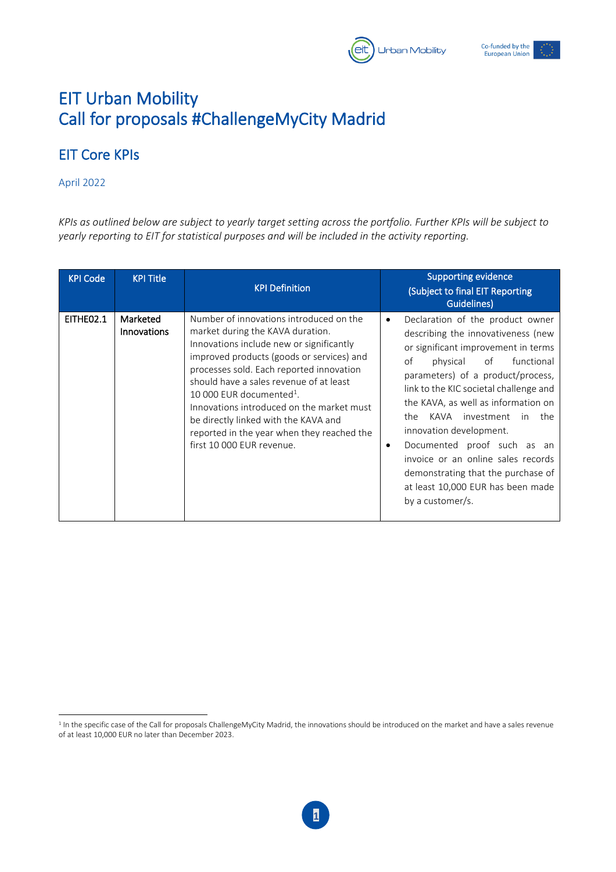

## EIT Urban Mobility Call for proposals #ChallengeMyCity Madrid

## EIT Core KPIs

## April 2022

*KPIs as outlined below are subject to yearly target setting across the portfolio. Further KPIs will be subject to yearly reporting to EIT for statistical purposes and will be included in the activity reporting.*

| <b>KPI Code</b> | <b>KPI Title</b>        | <b>KPI Definition</b>                                                                                                                                                                                                                                                                                                                                                                                                                                               | <b>Supporting evidence</b><br>(Subject to final EIT Reporting<br>Guidelines)                                                                                                                                                                                                                                                                                                                                                                                                                                                   |
|-----------------|-------------------------|---------------------------------------------------------------------------------------------------------------------------------------------------------------------------------------------------------------------------------------------------------------------------------------------------------------------------------------------------------------------------------------------------------------------------------------------------------------------|--------------------------------------------------------------------------------------------------------------------------------------------------------------------------------------------------------------------------------------------------------------------------------------------------------------------------------------------------------------------------------------------------------------------------------------------------------------------------------------------------------------------------------|
| EITHEO2.1       | Marketed<br>Innovations | Number of innovations introduced on the<br>market during the KAVA duration.<br>Innovations include new or significantly<br>improved products (goods or services) and<br>processes sold. Each reported innovation<br>should have a sales revenue of at least<br>10 000 EUR documented <sup>1</sup> .<br>Innovations introduced on the market must<br>be directly linked with the KAVA and<br>reported in the year when they reached the<br>first 10 000 EUR revenue. | Declaration of the product owner<br>$\bullet$<br>describing the innovativeness (new<br>or significant improvement in terms<br>of<br>of<br>physical<br>functional<br>parameters) of a product/process,<br>link to the KIC societal challenge and<br>the KAVA, as well as information on<br>KAVA investment<br>in the<br>the<br>innovation development.<br>Documented proof such as an<br>٠<br>invoice or an online sales records<br>demonstrating that the purchase of<br>at least 10,000 EUR has been made<br>by a customer/s. |

<sup>&</sup>lt;sup>1</sup> In the specific case of the Call for proposals ChallengeMyCity Madrid, the innovations should be introduced on the market and have a sales revenue of at least 10,000 EUR no later than December 2023.